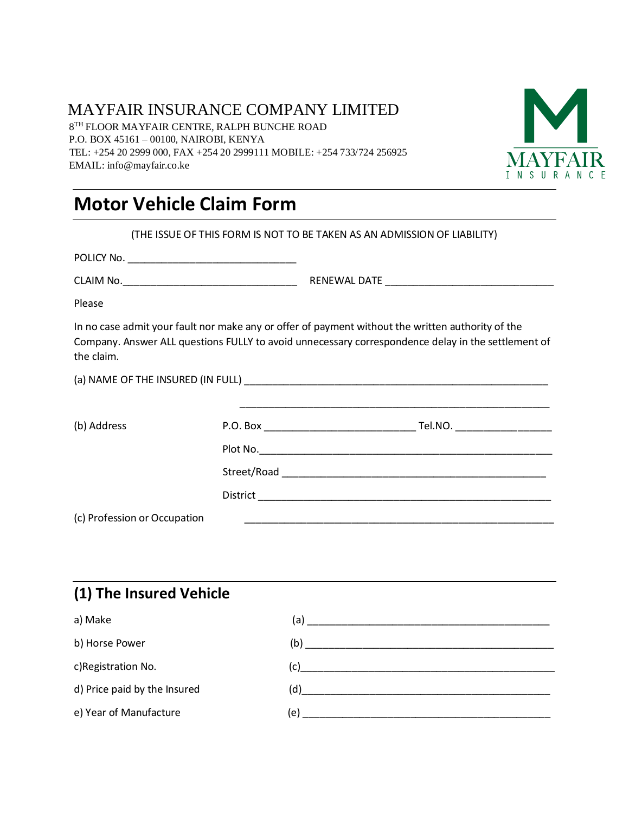### MAYFAIR INSURANCE COMPANY LIMITED

 8 TH FLOOR MAYFAIR CENTRE, RALPH BUNCHE ROAD P.O. BOX 45161 – 00100, NAIROBI, KENYA TEL: +254 20 2999 000, FAX +254 20 2999111 MOBILE: +254 733/724 256925 EMAIL: info@mayfair.co.ke



# **Motor Vehicle Claim Form**

|                              |  | (THE ISSUE OF THIS FORM IS NOT TO BE TAKEN AS AN ADMISSION OF LIABILITY)                                                                                                                                |
|------------------------------|--|---------------------------------------------------------------------------------------------------------------------------------------------------------------------------------------------------------|
|                              |  |                                                                                                                                                                                                         |
|                              |  |                                                                                                                                                                                                         |
| Please                       |  |                                                                                                                                                                                                         |
| the claim.                   |  | In no case admit your fault nor make any or offer of payment without the written authority of the<br>Company. Answer ALL questions FULLY to avoid unnecessary correspondence delay in the settlement of |
|                              |  |                                                                                                                                                                                                         |
| (b) Address                  |  |                                                                                                                                                                                                         |
|                              |  |                                                                                                                                                                                                         |
|                              |  |                                                                                                                                                                                                         |
|                              |  |                                                                                                                                                                                                         |
| (c) Profession or Occupation |  |                                                                                                                                                                                                         |
|                              |  |                                                                                                                                                                                                         |

### **(1) The Insured Vehicle**

| a) Make                      | (a)                                                                      |
|------------------------------|--------------------------------------------------------------------------|
| b) Horse Power               | (b)<br><u> 1980 - Johann Barbara, martin da kasar Amerikaan kasar da</u> |
| c)Registration No.           | (c)                                                                      |
| d) Price paid by the Insured | (d)<br><u> 1989 - John Stein, Amerikaansk politiker (* 1958)</u>         |
| e) Year of Manufacture       | (e)                                                                      |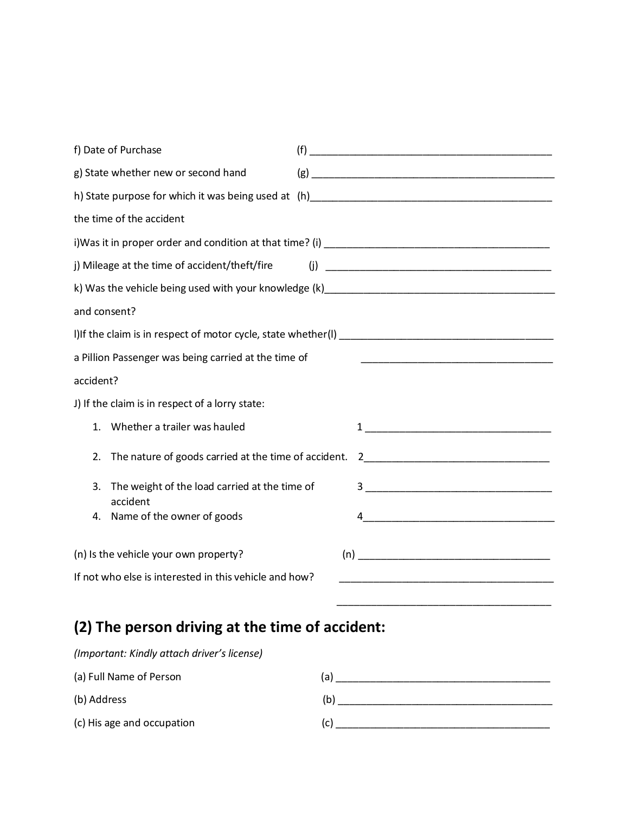| f) Date of Purchase                                                                                                                                         |
|-------------------------------------------------------------------------------------------------------------------------------------------------------------|
| g) State whether new or second hand                                                                                                                         |
|                                                                                                                                                             |
| the time of the accident                                                                                                                                    |
|                                                                                                                                                             |
| j) Mileage at the time of accident/theft/fire                                                                                                               |
|                                                                                                                                                             |
| and consent?                                                                                                                                                |
|                                                                                                                                                             |
| a Pillion Passenger was being carried at the time of                                                                                                        |
| accident?                                                                                                                                                   |
| J) If the claim is in respect of a lorry state:                                                                                                             |
| Whether a trailer was hauled<br>$\mathbf{1}$ .                                                                                                              |
| The nature of goods carried at the time of accident.<br>$\frac{2}{\sqrt{2}}$<br>2.                                                                          |
| The weight of the load carried at the time of<br>3.<br>accident                                                                                             |
| Name of the owner of goods<br>4.                                                                                                                            |
| (n) Is the vehicle your own property?<br>If not who else is interested in this vehicle and how?<br><u> 1989 - Johann John Stone, mars eta biztanleria (</u> |

### **(2) The person driving at the time of accident:**

| (Important: Kindly attach driver's license) |     |
|---------------------------------------------|-----|
| (a) Full Name of Person                     | (a) |
| (b) Address                                 | (b) |
| (c) His age and occupation                  | (C) |

 $\overline{\phantom{a}}$  , and the contract of the contract of the contract of the contract of the contract of the contract of the contract of the contract of the contract of the contract of the contract of the contract of the contrac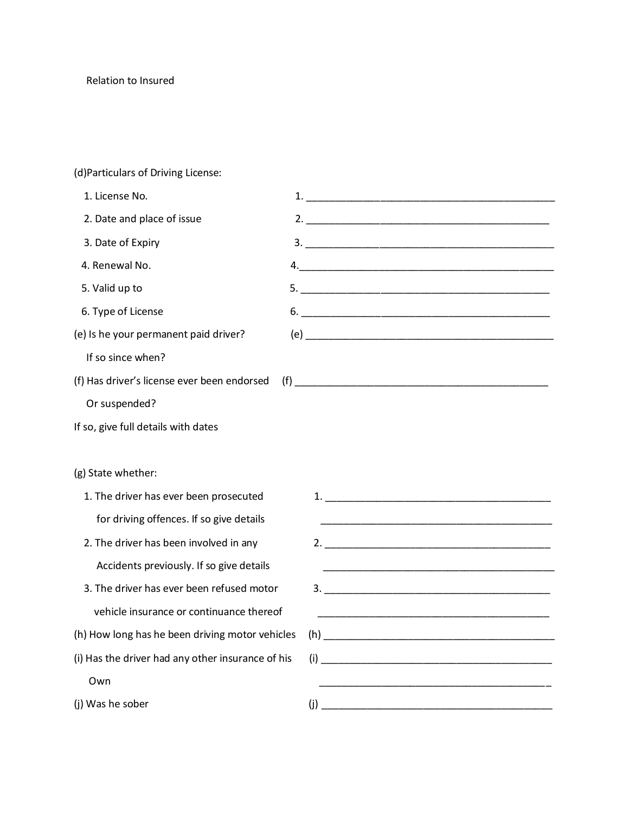#### (d)Particulars of Driving License:

| 1. License No.                                    |                                                                   |
|---------------------------------------------------|-------------------------------------------------------------------|
| 2. Date and place of issue                        |                                                                   |
| 3. Date of Expiry                                 |                                                                   |
| 4. Renewal No.                                    |                                                                   |
| 5. Valid up to                                    |                                                                   |
| 6. Type of License                                |                                                                   |
| (e) Is he your permanent paid driver?             |                                                                   |
| If so since when?                                 |                                                                   |
| (f) Has driver's license ever been endorsed       |                                                                   |
| Or suspended?                                     |                                                                   |
| If so, give full details with dates               |                                                                   |
|                                                   |                                                                   |
| (g) State whether:                                |                                                                   |
| 1. The driver has ever been prosecuted            |                                                                   |
| for driving offences. If so give details          |                                                                   |
| 2. The driver has been involved in any            |                                                                   |
| Accidents previously. If so give details          |                                                                   |
| 3. The driver has ever been refused motor         |                                                                   |
| vehicle insurance or continuance thereof          | <u> 1999 - Johann John Stone, mars eta biztanleria (h. 1908).</u> |
| (h) How long has he been driving motor vehicles   |                                                                   |
| (i) Has the driver had any other insurance of his |                                                                   |
| Own                                               |                                                                   |
| (j) Was he sober                                  | (i)                                                               |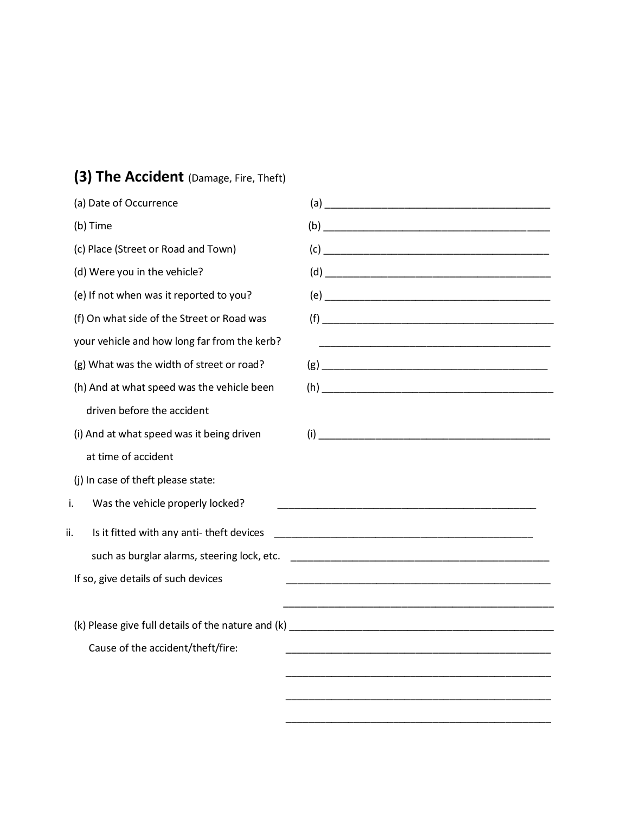### **(3) The Accident** (Damage, Fire, Theft)

| (a) Date of Occurrence                          |                                                                                                                      |
|-------------------------------------------------|----------------------------------------------------------------------------------------------------------------------|
| (b) Time                                        |                                                                                                                      |
| (c) Place (Street or Road and Town)             |                                                                                                                      |
| (d) Were you in the vehicle?                    |                                                                                                                      |
| (e) If not when was it reported to you?         |                                                                                                                      |
| (f) On what side of the Street or Road was      |                                                                                                                      |
| your vehicle and how long far from the kerb?    | <u> 1989 - Johann John Stone, mars eta bainar eta baina eta baina eta baina eta baina eta baina eta baina eta ba</u> |
| (g) What was the width of street or road?       |                                                                                                                      |
| (h) And at what speed was the vehicle been      |                                                                                                                      |
| driven before the accident                      |                                                                                                                      |
| (i) And at what speed was it being driven       |                                                                                                                      |
| at time of accident                             |                                                                                                                      |
| (j) In case of theft please state:              |                                                                                                                      |
| Was the vehicle properly locked?<br>i.          |                                                                                                                      |
| Is it fitted with any anti-theft devices<br>ii. |                                                                                                                      |
| such as burglar alarms, steering lock, etc.     |                                                                                                                      |
| If so, give details of such devices             |                                                                                                                      |
|                                                 |                                                                                                                      |
|                                                 |                                                                                                                      |
| Cause of the accident/theft/fire:               |                                                                                                                      |
|                                                 |                                                                                                                      |
|                                                 |                                                                                                                      |
|                                                 |                                                                                                                      |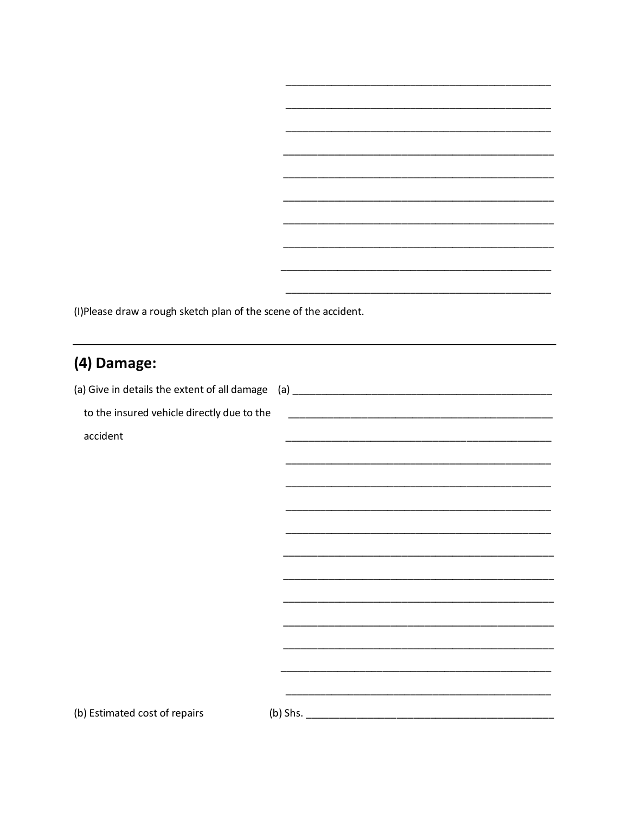(I) Please draw a rough sketch plan of the scene of the accident.

# (4) Damage:

| to the insured vehicle directly due to the |                                                                                                                       |
|--------------------------------------------|-----------------------------------------------------------------------------------------------------------------------|
| accident                                   | <u> 1989 - Johann John Stoff, deutscher Stoffen und der Stoffen und der Stoffen und der Stoffen und der Stoffen u</u> |
|                                            |                                                                                                                       |
|                                            |                                                                                                                       |
|                                            |                                                                                                                       |
|                                            |                                                                                                                       |
|                                            |                                                                                                                       |
|                                            |                                                                                                                       |
|                                            |                                                                                                                       |
|                                            |                                                                                                                       |
|                                            |                                                                                                                       |
|                                            |                                                                                                                       |
|                                            |                                                                                                                       |
|                                            |                                                                                                                       |
| (b) Estimated cost of repairs              |                                                                                                                       |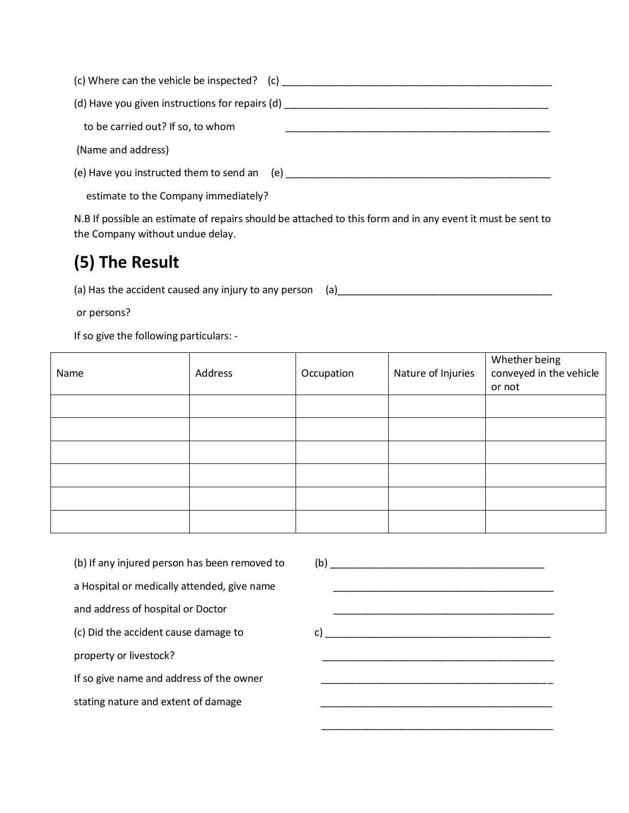| (c) Where can the vehicle be inspected? $(c)$   |  |
|-------------------------------------------------|--|
| (d) Have you given instructions for repairs (d) |  |
| to be carried out? If so, to whom               |  |
| (Name and address)                              |  |
| (e) Have you instructed them to send an (e)     |  |
| estimate to the Company immediately?            |  |

N.B If possible an estimate of repairs should be attached to this form and in any event it must be sent to the Company without undue delay.

## **(5) The Result**

(a) Has the accident caused any injury to any person (a)\_\_\_\_\_\_\_\_\_\_\_\_\_\_\_\_\_\_\_\_\_\_\_\_\_\_\_\_\_\_\_\_\_\_\_\_\_\_

or persons?

If so give the following particulars: -

| Name | Address | Occupation | Nature of Injuries | Whether being<br>conveyed in the vehicle<br>or not |
|------|---------|------------|--------------------|----------------------------------------------------|
|      |         |            |                    |                                                    |
|      |         |            |                    |                                                    |
|      |         |            |                    |                                                    |
|      |         |            |                    |                                                    |
|      |         |            |                    |                                                    |
|      |         |            |                    |                                                    |

(b) If any injured person has been removed to (b) \_\_\_\_\_\_\_\_\_\_\_\_\_\_\_\_\_\_\_\_\_\_\_\_\_\_\_\_\_\_\_\_\_\_\_\_\_\_ a Hospital or medically attended, give name and address of hospital or Doctor \_\_\_\_\_\_\_\_\_\_\_\_\_\_\_\_\_\_\_\_\_\_\_\_\_\_\_\_\_\_\_\_\_\_\_\_\_\_\_ (c) Did the accident cause damage to c) \_\_\_\_\_\_\_\_\_\_\_\_\_\_\_\_\_\_\_\_\_\_\_\_\_\_\_\_\_\_\_\_\_\_\_\_\_\_\_\_ property or livestock? If so give name and address of the owner stating nature and extent of damage

 $\overline{\phantom{a}}$  ,  $\overline{\phantom{a}}$  ,  $\overline{\phantom{a}}$  ,  $\overline{\phantom{a}}$  ,  $\overline{\phantom{a}}$  ,  $\overline{\phantom{a}}$  ,  $\overline{\phantom{a}}$  ,  $\overline{\phantom{a}}$  ,  $\overline{\phantom{a}}$  ,  $\overline{\phantom{a}}$  ,  $\overline{\phantom{a}}$  ,  $\overline{\phantom{a}}$  ,  $\overline{\phantom{a}}$  ,  $\overline{\phantom{a}}$  ,  $\overline{\phantom{a}}$  ,  $\overline{\phantom{a}}$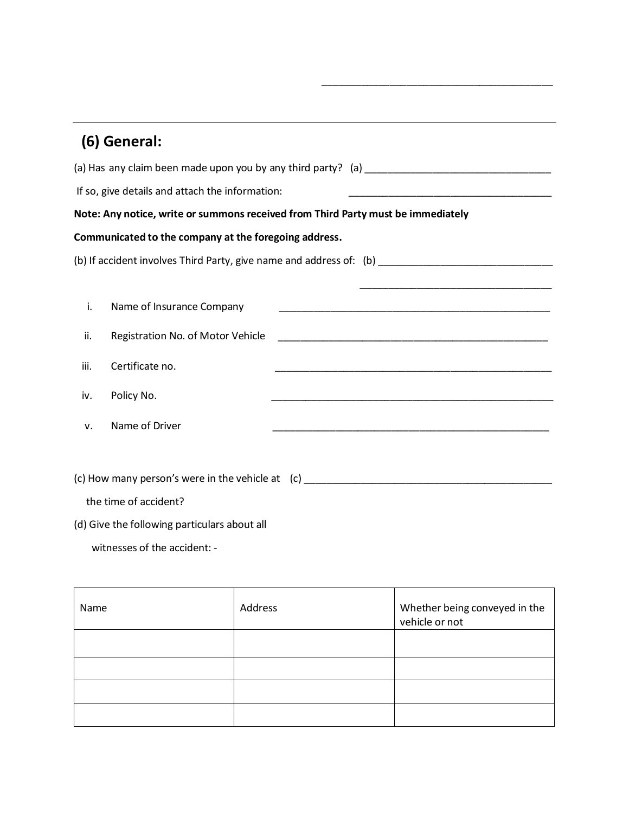|      | (6) General:                                                                     |                                                                                                                      |  |  |
|------|----------------------------------------------------------------------------------|----------------------------------------------------------------------------------------------------------------------|--|--|
|      |                                                                                  |                                                                                                                      |  |  |
|      | If so, give details and attach the information:                                  |                                                                                                                      |  |  |
|      | Note: Any notice, write or summons received from Third Party must be immediately |                                                                                                                      |  |  |
|      | Communicated to the company at the foregoing address.                            |                                                                                                                      |  |  |
|      |                                                                                  |                                                                                                                      |  |  |
|      |                                                                                  |                                                                                                                      |  |  |
| i.   | Name of Insurance Company                                                        |                                                                                                                      |  |  |
| ii.  | Registration No. of Motor Vehicle                                                |                                                                                                                      |  |  |
| iii. | Certificate no.                                                                  |                                                                                                                      |  |  |
| iv.  | Policy No.                                                                       | <u> 1989 - Andrea Santa Andrea Andrea Andrea Andrea Andrea Andrea Andrea Andrea Andrea Andrea Andrea Andrea Andr</u> |  |  |
| v.   | Name of Driver                                                                   |                                                                                                                      |  |  |
|      |                                                                                  |                                                                                                                      |  |  |
|      |                                                                                  |                                                                                                                      |  |  |

 $\overline{\phantom{a}}$  ,  $\overline{\phantom{a}}$  ,  $\overline{\phantom{a}}$  ,  $\overline{\phantom{a}}$  ,  $\overline{\phantom{a}}$  ,  $\overline{\phantom{a}}$  ,  $\overline{\phantom{a}}$  ,  $\overline{\phantom{a}}$  ,  $\overline{\phantom{a}}$  ,  $\overline{\phantom{a}}$  ,  $\overline{\phantom{a}}$  ,  $\overline{\phantom{a}}$  ,  $\overline{\phantom{a}}$  ,  $\overline{\phantom{a}}$  ,  $\overline{\phantom{a}}$  ,  $\overline{\phantom{a}}$ 

(c) How many person's were in the vehicle at (c) \_\_\_\_\_\_\_\_\_\_\_\_\_\_\_\_\_\_\_\_\_\_\_\_\_\_\_\_\_\_\_\_\_\_\_\_\_\_\_\_\_\_\_\_

the time of accident?

(d) Give the following particulars about all

witnesses of the accident: -

| Name | Address | Whether being conveyed in the<br>vehicle or not |
|------|---------|-------------------------------------------------|
|      |         |                                                 |
|      |         |                                                 |
|      |         |                                                 |
|      |         |                                                 |